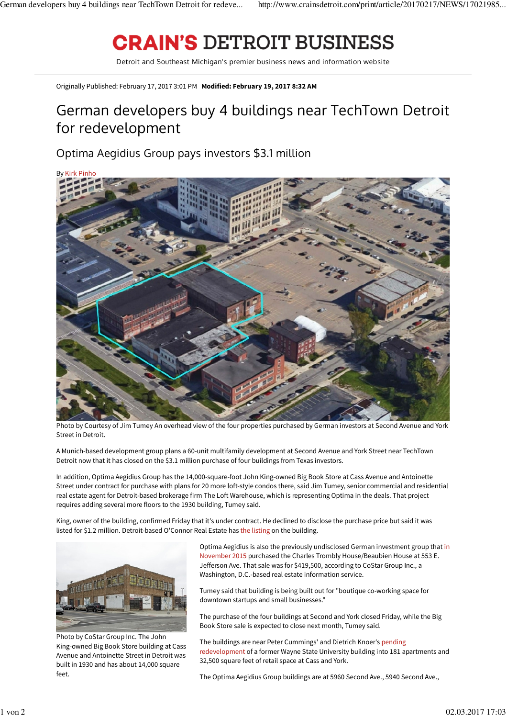## **CRAIN'S DETROIT BUSINESS**

Detroit and Southeast Michigan's premier business news and information website

Originally Published: February 17, 2017 3:01 PM  **Modified: February 19, 2017 8:32 AM**

## German developers buy 4 buildings near TechTown Detroit for redevelopment

## Optima Aegidius Group pays investors \$3.1 million



Photo by Courtesy of Jim Tumey An overhead view of the four properties purchased by German investors at Second Avenue and York Street in Detroit.

A Munich-based development group plans a 60-unit multifamily development at Second Avenue and York Street near TechTown Detroit now that it has closed on the \$3.1 million purchase of four buildings from Texas investors.

In addition, Optima Aegidius Group has the 14,000-square-foot John King-owned Big Book Store at Cass Avenue and Antoinette Street under contract for purchase with plans for 20 more loft-style condos there, said Jim Tumey, senior commercial and residential real estate agent for Detroit-based brokerage firm The Loft Warehouse, which is representing Optima in the deals. That project requires adding several more floors to the 1930 building, Tumey said.

King, owner of the building, confirmed Friday that it's under contract. He declined to disclose the purchase price but said it was listed for \$1.2 million. Detroit-based O'Connor Real Estate has the listing on the building.



Photo by CoStar Group Inc. The John King-owned Big Book Store building at Cass Avenue and Antoinette Street in Detroit was built in 1930 and has about 14,000 square feet.

Optima Aegidius is also the previously undisclosed German investment group that in November 2015 purchased the Charles Trombly House/Beaubien House at 553 E. Jefferson Ave. That sale was for \$419,500, according to CoStar Group Inc., a Washington, D.C.-based real estate information service.

Tumey said that building is being built out for "boutique co-working space for downtown startups and small businesses."

The purchase of the four buildings at Second and York closed Friday, while the Big Book Store sale is expected to close next month, Tumey said.

The buildings are near Peter Cummings' and Dietrich Knoer's pending redevelopment of a former Wayne State University building into 181 apartments and 32,500 square feet of retail space at Cass and York.

The Optima Aegidius Group buildings are at 5960 Second Ave., 5940 Second Ave.,